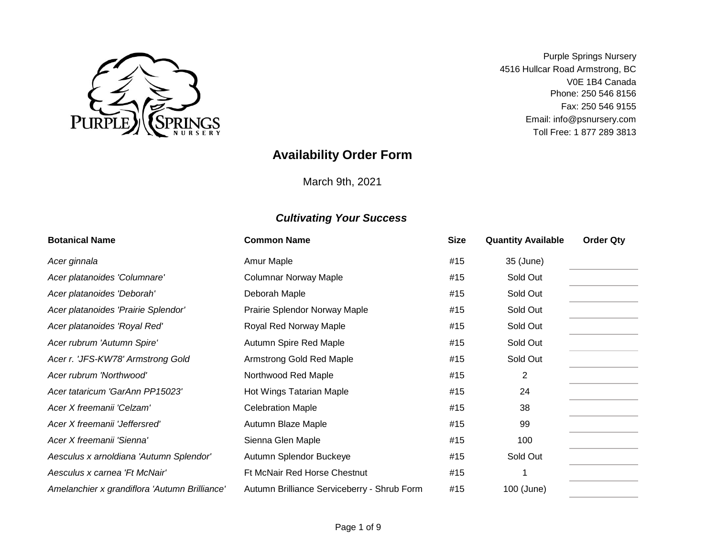

Email: info@psnursery.com Toll Free: 1 877 289 3813 Phone: 250 546 8156 V0E 1B4 Canada Fax: 250 546 9155 Purple Springs Nursery 4516 Hullcar Road Armstrong, BC

# **Availability Order Form**

March 9th, 2021

| <b>Botanical Name</b>                         | <b>Common Name</b>                          | <b>Size</b> | <b>Quantity Available</b> | <b>Order Qty</b> |
|-----------------------------------------------|---------------------------------------------|-------------|---------------------------|------------------|
| Acer ginnala                                  | Amur Maple                                  | #15         | 35 (June)                 |                  |
| Acer platanoides 'Columnare'                  | <b>Columnar Norway Maple</b>                | #15         | Sold Out                  |                  |
| Acer platanoides 'Deborah'                    | Deborah Maple                               | #15         | Sold Out                  |                  |
| Acer platanoides 'Prairie Splendor'           | Prairie Splendor Norway Maple               | #15         | Sold Out                  |                  |
| Acer platanoides 'Royal Red'                  | Royal Red Norway Maple                      | #15         | Sold Out                  |                  |
| Acer rubrum 'Autumn Spire'                    | Autumn Spire Red Maple                      | #15         | Sold Out                  |                  |
| Acer r. 'JFS-KW78' Armstrong Gold             | Armstrong Gold Red Maple                    | #15         | Sold Out                  |                  |
| Acer rubrum 'Northwood'                       | Northwood Red Maple                         | #15         | 2                         |                  |
| Acer tataricum 'GarAnn PP15023'               | Hot Wings Tatarian Maple                    | #15         | 24                        |                  |
| Acer X freemanii 'Celzam'                     | <b>Celebration Maple</b>                    | #15         | 38                        |                  |
| Acer X freemanii 'Jeffersred'                 | Autumn Blaze Maple                          | #15         | 99                        |                  |
| Acer X freemanii 'Sienna'                     | Sienna Glen Maple                           | #15         | 100                       |                  |
| Aesculus x arnoldiana 'Autumn Splendor'       | Autumn Splendor Buckeye                     | #15         | Sold Out                  |                  |
| Aesculus x carnea 'Ft McNair'                 | Ft McNair Red Horse Chestnut                | #15         |                           |                  |
| Amelanchier x grandiflora 'Autumn Brilliance' | Autumn Brilliance Serviceberry - Shrub Form | #15         | 100 (June)                |                  |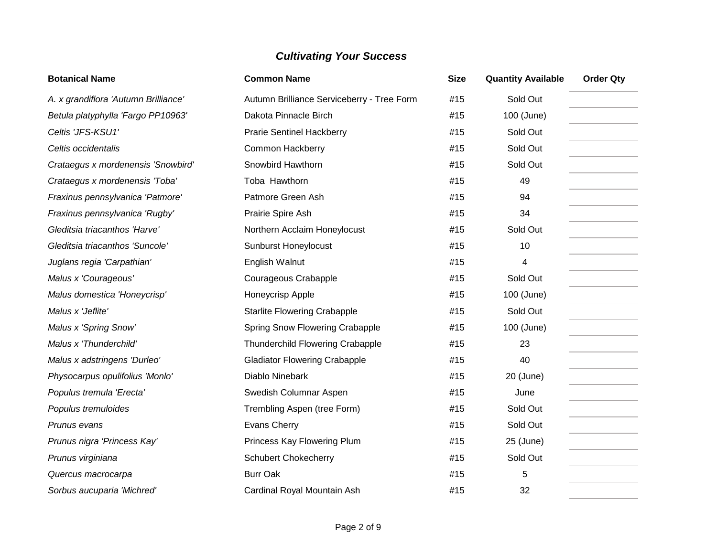| <b>Botanical Name</b>                | <b>Common Name</b>                         | <b>Size</b> | <b>Quantity Available</b> | <b>Order Qty</b> |
|--------------------------------------|--------------------------------------------|-------------|---------------------------|------------------|
| A. x grandiflora 'Autumn Brilliance' | Autumn Brilliance Serviceberry - Tree Form | #15         | Sold Out                  |                  |
| Betula platyphylla 'Fargo PP10963'   | Dakota Pinnacle Birch                      | #15         | 100 (June)                |                  |
| Celtis 'JFS-KSU1'                    | <b>Prarie Sentinel Hackberry</b>           | #15         | Sold Out                  |                  |
| Celtis occidentalis                  | <b>Common Hackberry</b>                    | #15         | Sold Out                  |                  |
| Crataegus x mordenensis 'Snowbird'   | Snowbird Hawthorn                          | #15         | Sold Out                  |                  |
| Crataegus x mordenensis 'Toba'       | Toba Hawthorn                              | #15         | 49                        |                  |
| Fraxinus pennsylvanica 'Patmore'     | Patmore Green Ash                          | #15         | 94                        |                  |
| Fraxinus pennsylvanica 'Rugby'       | Prairie Spire Ash                          | #15         | 34                        |                  |
| Gleditsia triacanthos 'Harve'        | Northern Acclaim Honeylocust               | #15         | Sold Out                  |                  |
| Gleditsia triacanthos 'Suncole'      | <b>Sunburst Honeylocust</b>                | #15         | 10                        |                  |
| Juglans regia 'Carpathian'           | English Walnut                             | #15         | 4                         |                  |
| Malus x 'Courageous'                 | Courageous Crabapple                       | #15         | Sold Out                  |                  |
| Malus domestica 'Honeycrisp'         | Honeycrisp Apple                           | #15         | 100 (June)                |                  |
| Malus x 'Jeflite'                    | <b>Starlite Flowering Crabapple</b>        | #15         | Sold Out                  |                  |
| Malus x 'Spring Snow'                | Spring Snow Flowering Crabapple            | #15         | 100 (June)                |                  |
| Malus x 'Thunderchild'               | <b>Thunderchild Flowering Crabapple</b>    | #15         | 23                        |                  |
| Malus x adstringens 'Durleo'         | <b>Gladiator Flowering Crabapple</b>       | #15         | 40                        |                  |
| Physocarpus opulifolius 'Monlo'      | Diablo Ninebark                            | #15         | 20 (June)                 |                  |
| Populus tremula 'Erecta'             | Swedish Columnar Aspen                     | #15         | June                      |                  |
| Populus tremuloides                  | Trembling Aspen (tree Form)                | #15         | Sold Out                  |                  |
| Prunus evans                         | Evans Cherry                               | #15         | Sold Out                  |                  |
| Prunus nigra 'Princess Kay'          | Princess Kay Flowering Plum                | #15         | 25 (June)                 |                  |
| Prunus virginiana                    | <b>Schubert Chokecherry</b>                | #15         | Sold Out                  |                  |
| Quercus macrocarpa                   | <b>Burr Oak</b>                            | #15         | 5                         |                  |
| Sorbus aucuparia 'Michred'           | Cardinal Royal Mountain Ash                | #15         | 32                        |                  |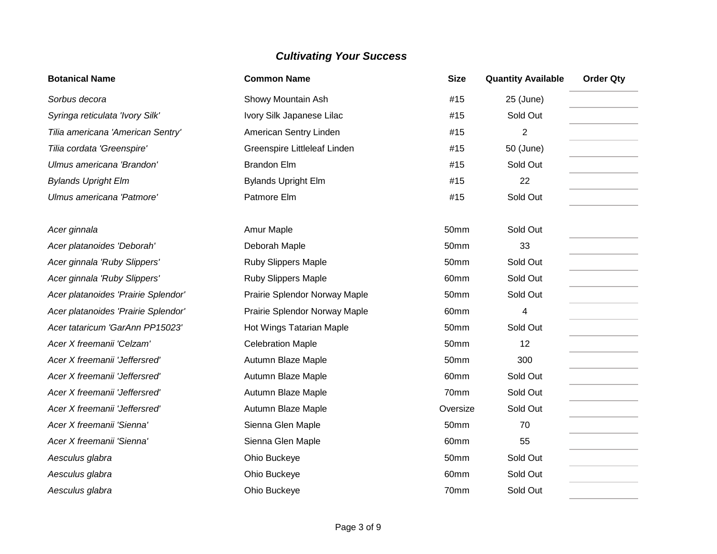| <b>Botanical Name</b>               | <b>Common Name</b>            | <b>Size</b> | <b>Quantity Available</b> | <b>Order Qty</b> |
|-------------------------------------|-------------------------------|-------------|---------------------------|------------------|
| Sorbus decora                       | Showy Mountain Ash            | #15         | 25 (June)                 |                  |
| Syringa reticulata 'Ivory Silk'     | Ivory Silk Japanese Lilac     | #15         | Sold Out                  |                  |
| Tilia americana 'American Sentry'   | American Sentry Linden        | #15         | $\overline{2}$            |                  |
| Tilia cordata 'Greenspire'          | Greenspire Littleleaf Linden  | #15         | 50 (June)                 |                  |
| Ulmus americana 'Brandon'           | <b>Brandon Elm</b>            | #15         | Sold Out                  |                  |
| <b>Bylands Upright Elm</b>          | <b>Bylands Upright Elm</b>    | #15         | 22                        |                  |
| Ulmus americana 'Patmore'           | Patmore Elm                   | #15         | Sold Out                  |                  |
|                                     |                               |             |                           |                  |
| Acer ginnala                        | Amur Maple                    | 50mm        | Sold Out                  |                  |
| Acer platanoides 'Deborah'          | Deborah Maple                 | 50mm        | 33                        |                  |
| Acer ginnala 'Ruby Slippers'        | Ruby Slippers Maple           | 50mm        | Sold Out                  |                  |
| Acer ginnala 'Ruby Slippers'        | <b>Ruby Slippers Maple</b>    | 60mm        | Sold Out                  |                  |
| Acer platanoides 'Prairie Splendor' | Prairie Splendor Norway Maple | 50mm        | Sold Out                  |                  |
| Acer platanoides 'Prairie Splendor' | Prairie Splendor Norway Maple | 60mm        | 4                         |                  |
| Acer tataricum 'GarAnn PP15023'     | Hot Wings Tatarian Maple      | 50mm        | Sold Out                  |                  |
| Acer X freemanii 'Celzam'           | <b>Celebration Maple</b>      | 50mm        | 12                        |                  |
| Acer X freemanii 'Jeffersred'       | Autumn Blaze Maple            | 50mm        | 300                       |                  |
| Acer X freemanii 'Jeffersred'       | Autumn Blaze Maple            | 60mm        | Sold Out                  |                  |
| Acer X freemanii 'Jeffersred'       | Autumn Blaze Maple            | 70mm        | Sold Out                  |                  |
| Acer X freemanii 'Jeffersred'       | Autumn Blaze Maple            | Oversize    | Sold Out                  |                  |
| Acer X freemanii 'Sienna'           | Sienna Glen Maple             | 50mm        | 70                        |                  |
| Acer X freemanii 'Sienna'           | Sienna Glen Maple             | 60mm        | 55                        |                  |
| Aesculus glabra                     | Ohio Buckeye                  | 50mm        | Sold Out                  |                  |
| Aesculus glabra                     | Ohio Buckeye                  | 60mm        | Sold Out                  |                  |
| Aesculus glabra                     | Ohio Buckeye                  | 70mm        | Sold Out                  |                  |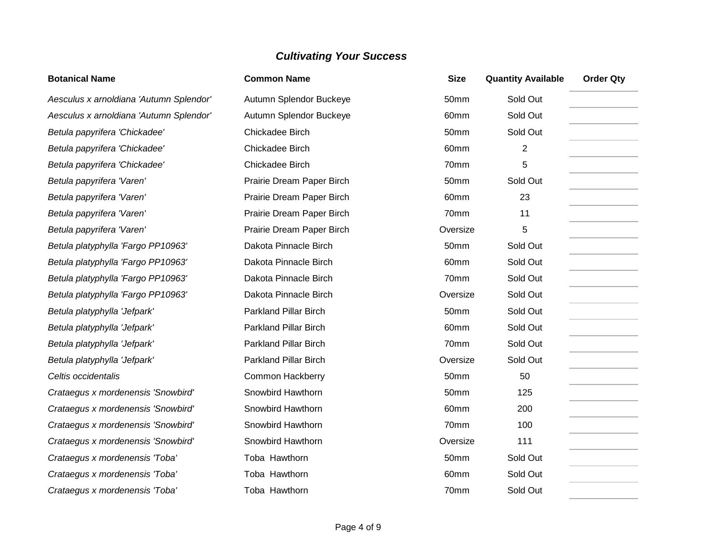| <b>Botanical Name</b>                   | <b>Common Name</b>           | <b>Size</b> | <b>Quantity Available</b> | <b>Order Qty</b> |
|-----------------------------------------|------------------------------|-------------|---------------------------|------------------|
| Aesculus x arnoldiana 'Autumn Splendor' | Autumn Splendor Buckeye      | 50mm        | Sold Out                  |                  |
| Aesculus x arnoldiana 'Autumn Splendor' | Autumn Splendor Buckeye      | 60mm        | Sold Out                  |                  |
| Betula papyrifera 'Chickadee'           | Chickadee Birch              | 50mm        | Sold Out                  |                  |
| Betula papyrifera 'Chickadee'           | Chickadee Birch              | 60mm        | 2                         |                  |
| Betula papyrifera 'Chickadee'           | Chickadee Birch              | 70mm        | 5                         |                  |
| Betula papyrifera 'Varen'               | Prairie Dream Paper Birch    | 50mm        | Sold Out                  |                  |
| Betula papyrifera 'Varen'               | Prairie Dream Paper Birch    | 60mm        | 23                        |                  |
| Betula papyrifera 'Varen'               | Prairie Dream Paper Birch    | 70mm        | 11                        |                  |
| Betula papyrifera 'Varen'               | Prairie Dream Paper Birch    | Oversize    | 5                         |                  |
| Betula platyphylla 'Fargo PP10963'      | Dakota Pinnacle Birch        | 50mm        | Sold Out                  |                  |
| Betula platyphylla 'Fargo PP10963'      | Dakota Pinnacle Birch        | 60mm        | Sold Out                  |                  |
| Betula platyphylla 'Fargo PP10963'      | Dakota Pinnacle Birch        | 70mm        | Sold Out                  |                  |
| Betula platyphylla 'Fargo PP10963'      | Dakota Pinnacle Birch        | Oversize    | Sold Out                  |                  |
| Betula platyphylla 'Jefpark'            | <b>Parkland Pillar Birch</b> | 50mm        | Sold Out                  |                  |
| Betula platyphylla 'Jefpark'            | <b>Parkland Pillar Birch</b> | 60mm        | Sold Out                  |                  |
| Betula platyphylla 'Jefpark'            | <b>Parkland Pillar Birch</b> | 70mm        | Sold Out                  |                  |
| Betula platyphylla 'Jefpark'            | <b>Parkland Pillar Birch</b> | Oversize    | Sold Out                  |                  |
| Celtis occidentalis                     | <b>Common Hackberry</b>      | 50mm        | 50                        |                  |
| Crataegus x mordenensis 'Snowbird'      | Snowbird Hawthorn            | 50mm        | 125                       |                  |
| Crataegus x mordenensis 'Snowbird'      | Snowbird Hawthorn            | 60mm        | 200                       |                  |
| Crataegus x mordenensis 'Snowbird'      | Snowbird Hawthorn            | 70mm        | 100                       |                  |
| Crataegus x mordenensis 'Snowbird'      | Snowbird Hawthorn            | Oversize    | 111                       |                  |
| Crataegus x mordenensis 'Toba'          | Toba Hawthorn                | 50mm        | Sold Out                  |                  |
| Crataegus x mordenensis 'Toba'          | Toba Hawthorn                | 60mm        | Sold Out                  |                  |
| Crataegus x mordenensis 'Toba'          | Toba Hawthorn                | 70mm        | Sold Out                  |                  |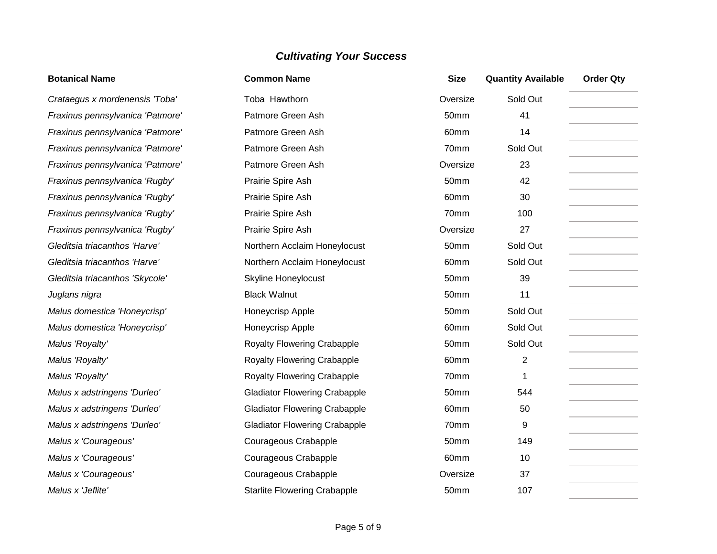| <b>Botanical Name</b>            | <b>Common Name</b>                   | <b>Size</b> | <b>Quantity Available</b> | <b>Order Qty</b> |
|----------------------------------|--------------------------------------|-------------|---------------------------|------------------|
| Crataegus x mordenensis 'Toba'   | Toba Hawthorn                        | Oversize    | Sold Out                  |                  |
| Fraxinus pennsylvanica 'Patmore' | Patmore Green Ash                    | 50mm        | 41                        |                  |
| Fraxinus pennsylvanica 'Patmore' | Patmore Green Ash                    | 60mm        | 14                        |                  |
| Fraxinus pennsylvanica 'Patmore' | Patmore Green Ash                    | 70mm        | Sold Out                  |                  |
| Fraxinus pennsylvanica 'Patmore' | Patmore Green Ash                    | Oversize    | 23                        |                  |
| Fraxinus pennsylvanica 'Rugby'   | Prairie Spire Ash                    | 50mm        | 42                        |                  |
| Fraxinus pennsylvanica 'Rugby'   | Prairie Spire Ash                    | 60mm        | 30                        |                  |
| Fraxinus pennsylvanica 'Rugby'   | Prairie Spire Ash                    | 70mm        | 100                       |                  |
| Fraxinus pennsylvanica 'Rugby'   | Prairie Spire Ash                    | Oversize    | 27                        |                  |
| Gleditsia triacanthos 'Harve'    | Northern Acclaim Honeylocust         | 50mm        | Sold Out                  |                  |
| Gleditsia triacanthos 'Harve'    | Northern Acclaim Honeylocust         | 60mm        | Sold Out                  |                  |
| Gleditsia triacanthos 'Skycole'  | <b>Skyline Honeylocust</b>           | 50mm        | 39                        |                  |
| Juglans nigra                    | <b>Black Walnut</b>                  | 50mm        | 11                        |                  |
| Malus domestica 'Honeycrisp'     | Honeycrisp Apple                     | 50mm        | Sold Out                  |                  |
| Malus domestica 'Honeycrisp'     | Honeycrisp Apple                     | 60mm        | Sold Out                  |                  |
| Malus 'Royalty'                  | <b>Royalty Flowering Crabapple</b>   | 50mm        | Sold Out                  |                  |
| Malus 'Royalty'                  | <b>Royalty Flowering Crabapple</b>   | 60mm        | $\overline{2}$            |                  |
| Malus 'Royalty'                  | <b>Royalty Flowering Crabapple</b>   | 70mm        | 1                         |                  |
| Malus x adstringens 'Durleo'     | <b>Gladiator Flowering Crabapple</b> | 50mm        | 544                       |                  |
| Malus x adstringens 'Durleo'     | <b>Gladiator Flowering Crabapple</b> | 60mm        | 50                        |                  |
| Malus x adstringens 'Durleo'     | <b>Gladiator Flowering Crabapple</b> | 70mm        | 9                         |                  |
| Malus x 'Courageous'             | Courageous Crabapple                 | 50mm        | 149                       |                  |
| Malus x 'Courageous'             | Courageous Crabapple                 | 60mm        | 10                        |                  |
| Malus x 'Courageous'             | Courageous Crabapple                 | Oversize    | 37                        |                  |
| Malus x 'Jeflite'                | <b>Starlite Flowering Crabapple</b>  | 50mm        | 107                       |                  |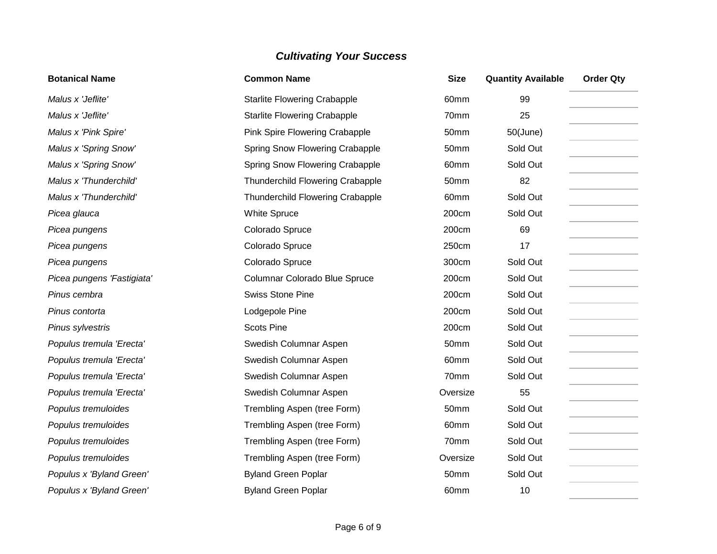| <b>Botanical Name</b>      | <b>Common Name</b>                      | <b>Size</b> | <b>Quantity Available</b> | <b>Order Qty</b> |
|----------------------------|-----------------------------------------|-------------|---------------------------|------------------|
| Malus x 'Jeflite'          | <b>Starlite Flowering Crabapple</b>     | 60mm        | 99                        |                  |
| Malus x 'Jeflite'          | <b>Starlite Flowering Crabapple</b>     | 70mm        | 25                        |                  |
| Malus x 'Pink Spire'       | Pink Spire Flowering Crabapple          | 50mm        | $50$ (June)               |                  |
| Malus x 'Spring Snow'      | Spring Snow Flowering Crabapple         | 50mm        | Sold Out                  |                  |
| Malus x 'Spring Snow'      | Spring Snow Flowering Crabapple         | 60mm        | Sold Out                  |                  |
| Malus x 'Thunderchild'     | <b>Thunderchild Flowering Crabapple</b> | 50mm        | 82                        |                  |
| Malus x 'Thunderchild'     | Thunderchild Flowering Crabapple        | 60mm        | Sold Out                  |                  |
| Picea glauca               | <b>White Spruce</b>                     | 200cm       | Sold Out                  |                  |
| Picea pungens              | Colorado Spruce                         | 200cm       | 69                        |                  |
| Picea pungens              | Colorado Spruce                         | 250cm       | 17                        |                  |
| Picea pungens              | Colorado Spruce                         | 300cm       | Sold Out                  |                  |
| Picea pungens 'Fastigiata' | Columnar Colorado Blue Spruce           | 200cm       | Sold Out                  |                  |
| Pinus cembra               | <b>Swiss Stone Pine</b>                 | 200cm       | Sold Out                  |                  |
| Pinus contorta             | Lodgepole Pine                          | 200cm       | Sold Out                  |                  |
| Pinus sylvestris           | <b>Scots Pine</b>                       | 200cm       | Sold Out                  |                  |
| Populus tremula 'Erecta'   | Swedish Columnar Aspen                  | 50mm        | Sold Out                  |                  |
| Populus tremula 'Erecta'   | Swedish Columnar Aspen                  | 60mm        | Sold Out                  |                  |
| Populus tremula 'Erecta'   | Swedish Columnar Aspen                  | 70mm        | Sold Out                  |                  |
| Populus tremula 'Erecta'   | Swedish Columnar Aspen                  | Oversize    | 55                        |                  |
| Populus tremuloides        | Trembling Aspen (tree Form)             | 50mm        | Sold Out                  |                  |
| Populus tremuloides        | Trembling Aspen (tree Form)             | 60mm        | Sold Out                  |                  |
| Populus tremuloides        | Trembling Aspen (tree Form)             | 70mm        | Sold Out                  |                  |
| Populus tremuloides        | Trembling Aspen (tree Form)             | Oversize    | Sold Out                  |                  |
| Populus x 'Byland Green'   | <b>Byland Green Poplar</b>              | 50mm        | Sold Out                  |                  |
| Populus x 'Byland Green'   | <b>Byland Green Poplar</b>              | 60mm        | 10                        |                  |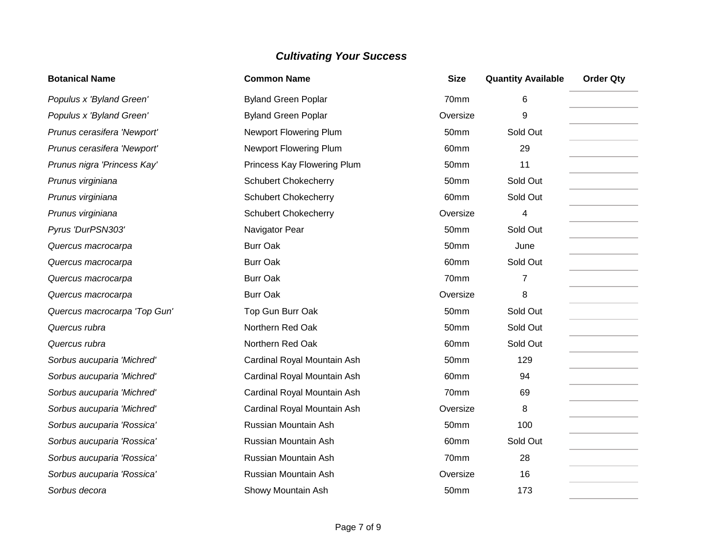| <b>Botanical Name</b>        | <b>Common Name</b>            | <b>Size</b> | <b>Quantity Available</b> | <b>Order Qty</b> |
|------------------------------|-------------------------------|-------------|---------------------------|------------------|
| Populus x 'Byland Green'     | <b>Byland Green Poplar</b>    | 70mm        | 6                         |                  |
| Populus x 'Byland Green'     | <b>Byland Green Poplar</b>    | Oversize    | 9                         |                  |
| Prunus cerasifera 'Newport'  | Newport Flowering Plum        | 50mm        | Sold Out                  |                  |
| Prunus cerasifera 'Newport'  | <b>Newport Flowering Plum</b> | 60mm        | 29                        |                  |
| Prunus nigra 'Princess Kay'  | Princess Kay Flowering Plum   | 50mm        | 11                        |                  |
| Prunus virginiana            | <b>Schubert Chokecherry</b>   | 50mm        | Sold Out                  |                  |
| Prunus virginiana            | <b>Schubert Chokecherry</b>   | 60mm        | Sold Out                  |                  |
| Prunus virginiana            | <b>Schubert Chokecherry</b>   | Oversize    | 4                         |                  |
| Pyrus 'DurPSN303'            | Navigator Pear                | 50mm        | Sold Out                  |                  |
| Quercus macrocarpa           | <b>Burr Oak</b>               | 50mm        | June                      |                  |
| Quercus macrocarpa           | <b>Burr Oak</b>               | 60mm        | Sold Out                  |                  |
| Quercus macrocarpa           | <b>Burr Oak</b>               | 70mm        | 7                         |                  |
| Quercus macrocarpa           | <b>Burr Oak</b>               | Oversize    | 8                         |                  |
| Quercus macrocarpa 'Top Gun' | Top Gun Burr Oak              | 50mm        | Sold Out                  |                  |
| Quercus rubra                | Northern Red Oak              | 50mm        | Sold Out                  |                  |
| Quercus rubra                | Northern Red Oak              | 60mm        | Sold Out                  |                  |
| Sorbus aucuparia 'Michred'   | Cardinal Royal Mountain Ash   | 50mm        | 129                       |                  |
| Sorbus aucuparia 'Michred'   | Cardinal Royal Mountain Ash   | 60mm        | 94                        |                  |
| Sorbus aucuparia 'Michred'   | Cardinal Royal Mountain Ash   | 70mm        | 69                        |                  |
| Sorbus aucuparia 'Michred'   | Cardinal Royal Mountain Ash   | Oversize    | 8                         |                  |
| Sorbus aucuparia 'Rossica'   | Russian Mountain Ash          | 50mm        | 100                       |                  |
| Sorbus aucuparia 'Rossica'   | Russian Mountain Ash          | 60mm        | Sold Out                  |                  |
| Sorbus aucuparia 'Rossica'   | Russian Mountain Ash          | 70mm        | 28                        |                  |
| Sorbus aucuparia 'Rossica'   | Russian Mountain Ash          | Oversize    | 16                        |                  |
| Sorbus decora                | Showy Mountain Ash            | 50mm        | 173                       |                  |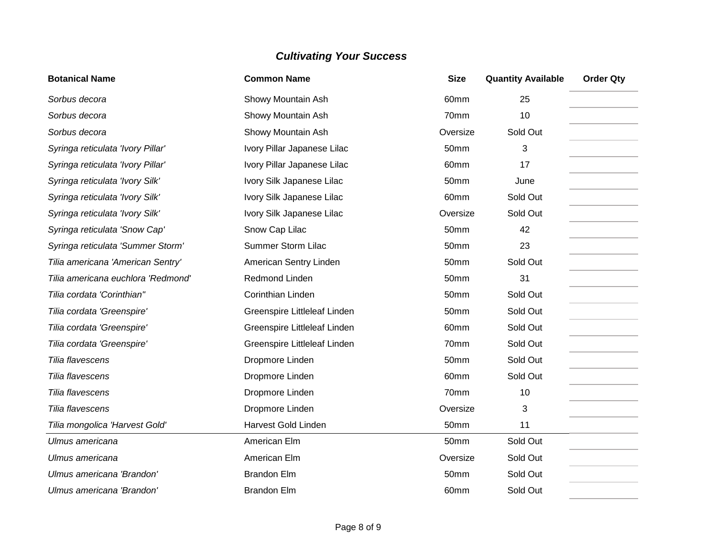| <b>Botanical Name</b>              | <b>Common Name</b>           | <b>Size</b> | <b>Quantity Available</b> | <b>Order Qty</b> |
|------------------------------------|------------------------------|-------------|---------------------------|------------------|
| Sorbus decora                      | Showy Mountain Ash           | 60mm        | 25                        |                  |
| Sorbus decora                      | Showy Mountain Ash           | 70mm        | 10                        |                  |
| Sorbus decora                      | Showy Mountain Ash           | Oversize    | Sold Out                  |                  |
| Syringa reticulata 'Ivory Pillar'  | Ivory Pillar Japanese Lilac  | 50mm        | 3                         |                  |
| Syringa reticulata 'Ivory Pillar'  | Ivory Pillar Japanese Lilac  | 60mm        | 17                        |                  |
| Syringa reticulata 'Ivory Silk'    | Ivory Silk Japanese Lilac    | 50mm        | June                      |                  |
| Syringa reticulata 'Ivory Silk'    | Ivory Silk Japanese Lilac    | 60mm        | Sold Out                  |                  |
| Syringa reticulata 'Ivory Silk'    | Ivory Silk Japanese Lilac    | Oversize    | Sold Out                  |                  |
| Syringa reticulata 'Snow Cap'      | Snow Cap Lilac               | 50mm        | 42                        |                  |
| Syringa reticulata 'Summer Storm'  | <b>Summer Storm Lilac</b>    | 50mm        | 23                        |                  |
| Tilia americana 'American Sentry'  | American Sentry Linden       | 50mm        | Sold Out                  |                  |
| Tilia americana euchlora 'Redmond' | Redmond Linden               | 50mm        | 31                        |                  |
| Tilia cordata 'Corinthian"         | Corinthian Linden            | 50mm        | Sold Out                  |                  |
| Tilia cordata 'Greenspire'         | Greenspire Littleleaf Linden | 50mm        | Sold Out                  |                  |
| Tilia cordata 'Greenspire'         | Greenspire Littleleaf Linden | 60mm        | Sold Out                  |                  |
| Tilia cordata 'Greenspire'         | Greenspire Littleleaf Linden | 70mm        | Sold Out                  |                  |
| Tilia flavescens                   | Dropmore Linden              | 50mm        | Sold Out                  |                  |
| Tilia flavescens                   | Dropmore Linden              | 60mm        | Sold Out                  |                  |
| Tilia flavescens                   | Dropmore Linden              | 70mm        | 10                        |                  |
| Tilia flavescens                   | Dropmore Linden              | Oversize    | 3                         |                  |
| Tilia mongolica 'Harvest Gold'     | Harvest Gold Linden          | 50mm        | 11                        |                  |
| Ulmus americana                    | American Elm                 | 50mm        | Sold Out                  |                  |
| Ulmus americana                    | American Elm                 | Oversize    | Sold Out                  |                  |
| Ulmus americana 'Brandon'          | <b>Brandon Elm</b>           | 50mm        | Sold Out                  |                  |
| Ulmus americana 'Brandon'          | <b>Brandon Elm</b>           | 60mm        | Sold Out                  |                  |